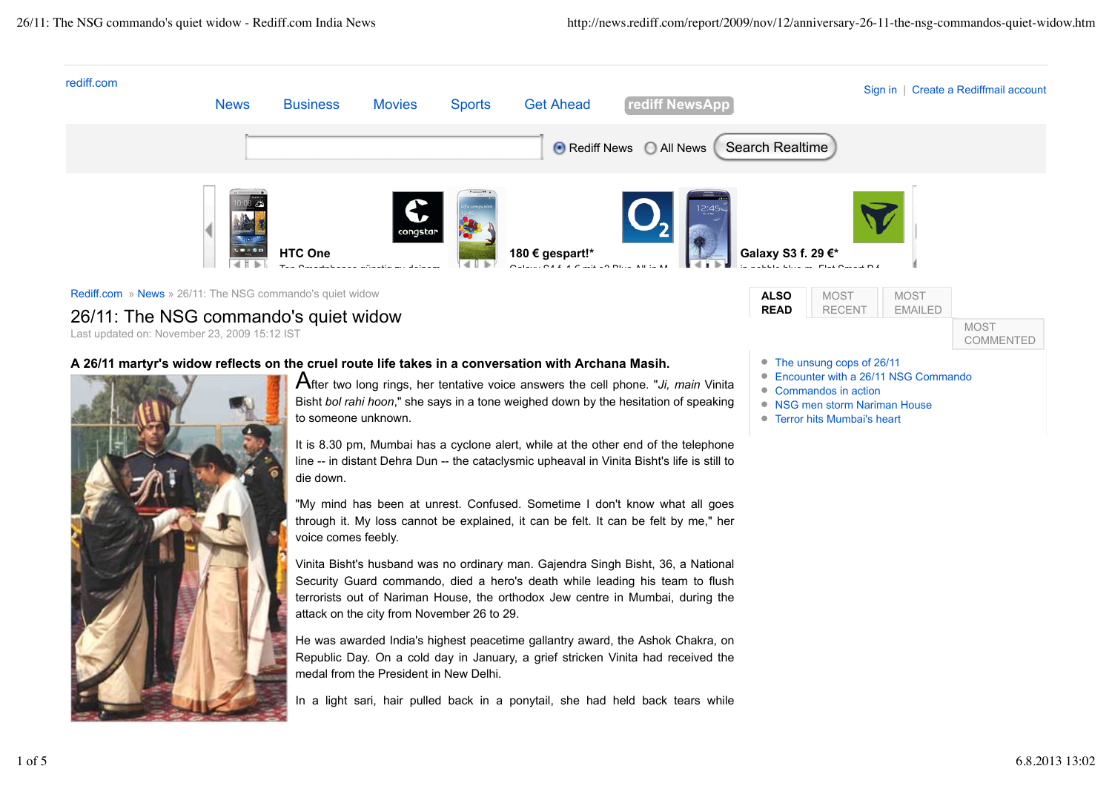

"My mind has been at unrest. Confused. Sometime I don't know what all goes through it. My loss cannot be explained, it can be felt. It can be felt by me," her voice comes feebly.

Vinita Bisht's husband was no ordinary man. Gajendra Singh Bisht, 36, a National Security Guard commando, died a hero's death while leading his team to flush terrorists out of Nariman House, the orthodox Jew centre in Mumbai, during the attack on the city from November 26 to 29.

He was awarded India's highest peacetime gallantry award, the Ashok Chakra, on Republic Day. On a cold day in January, a grief stricken Vinita had received the medal from the President in New Delhi.

In a light sari, hair pulled back in a ponytail, she had held back tears while